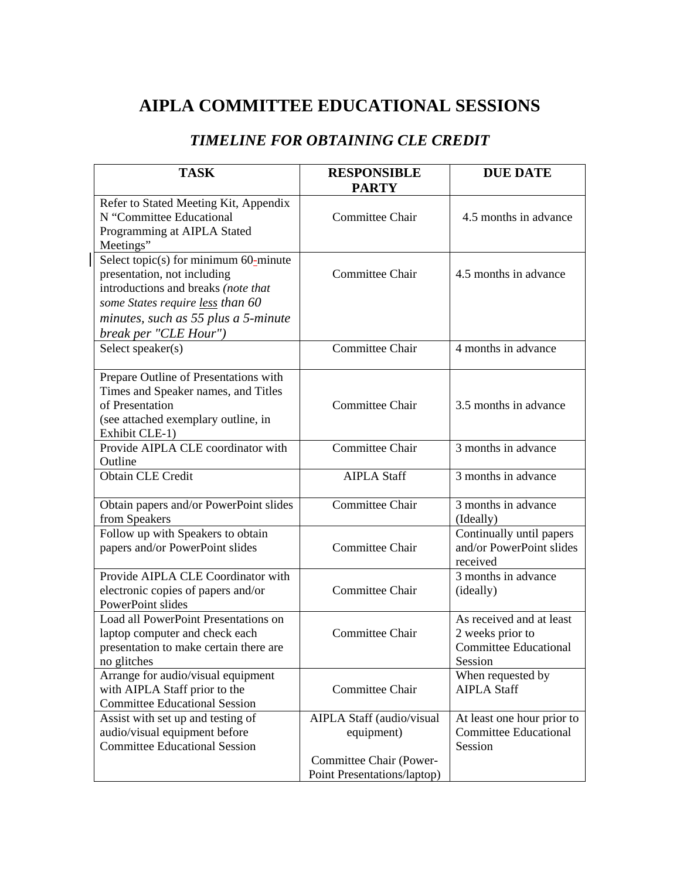# **AIPLA COMMITTEE EDUCATIONAL SESSIONS**

## *TIMELINE FOR OBTAINING CLE CREDIT*

| <b>TASK</b>                                                                                                                                                                                                        | <b>RESPONSIBLE</b><br><b>PARTY</b>                                                                | <b>DUE DATE</b>                                                                         |
|--------------------------------------------------------------------------------------------------------------------------------------------------------------------------------------------------------------------|---------------------------------------------------------------------------------------------------|-----------------------------------------------------------------------------------------|
| Refer to Stated Meeting Kit, Appendix<br>N "Committee Educational<br>Programming at AIPLA Stated<br>Meetings"                                                                                                      | Committee Chair                                                                                   | 4.5 months in advance                                                                   |
| Select topic(s) for minimum $60$ -minute<br>presentation, not including<br>introductions and breaks (note that<br>some States require less than 60<br>minutes, such as 55 plus a 5-minute<br>break per "CLE Hour") | Committee Chair                                                                                   | 4.5 months in advance                                                                   |
| Select speaker(s)                                                                                                                                                                                                  | <b>Committee Chair</b>                                                                            | 4 months in advance                                                                     |
| Prepare Outline of Presentations with<br>Times and Speaker names, and Titles<br>of Presentation<br>(see attached exemplary outline, in<br>Exhibit CLE-1)                                                           | <b>Committee Chair</b>                                                                            | 3.5 months in advance                                                                   |
| Provide AIPLA CLE coordinator with<br>Outline                                                                                                                                                                      | Committee Chair                                                                                   | 3 months in advance                                                                     |
| <b>Obtain CLE Credit</b>                                                                                                                                                                                           | <b>AIPLA Staff</b>                                                                                | 3 months in advance                                                                     |
| Obtain papers and/or PowerPoint slides<br>from Speakers                                                                                                                                                            | <b>Committee Chair</b>                                                                            | 3 months in advance<br>(Ideally)                                                        |
| Follow up with Speakers to obtain<br>papers and/or PowerPoint slides                                                                                                                                               | <b>Committee Chair</b>                                                                            | Continually until papers<br>and/or PowerPoint slides<br>received                        |
| Provide AIPLA CLE Coordinator with<br>electronic copies of papers and/or<br>PowerPoint slides                                                                                                                      | <b>Committee Chair</b>                                                                            | 3 months in advance<br>(ideally)                                                        |
| Load all PowerPoint Presentations on<br>laptop computer and check each<br>presentation to make certain there are<br>no glitches                                                                                    | Committee Chair                                                                                   | As received and at least<br>2 weeks prior to<br><b>Committee Educational</b><br>Session |
| Arrange for audio/visual equipment<br>with AIPLA Staff prior to the<br><b>Committee Educational Session</b>                                                                                                        | Committee Chair                                                                                   | When requested by<br><b>AIPLA Staff</b>                                                 |
| Assist with set up and testing of<br>audio/visual equipment before<br><b>Committee Educational Session</b>                                                                                                         | AIPLA Staff (audio/visual<br>equipment)<br>Committee Chair (Power-<br>Point Presentations/laptop) | At least one hour prior to<br><b>Committee Educational</b><br>Session                   |